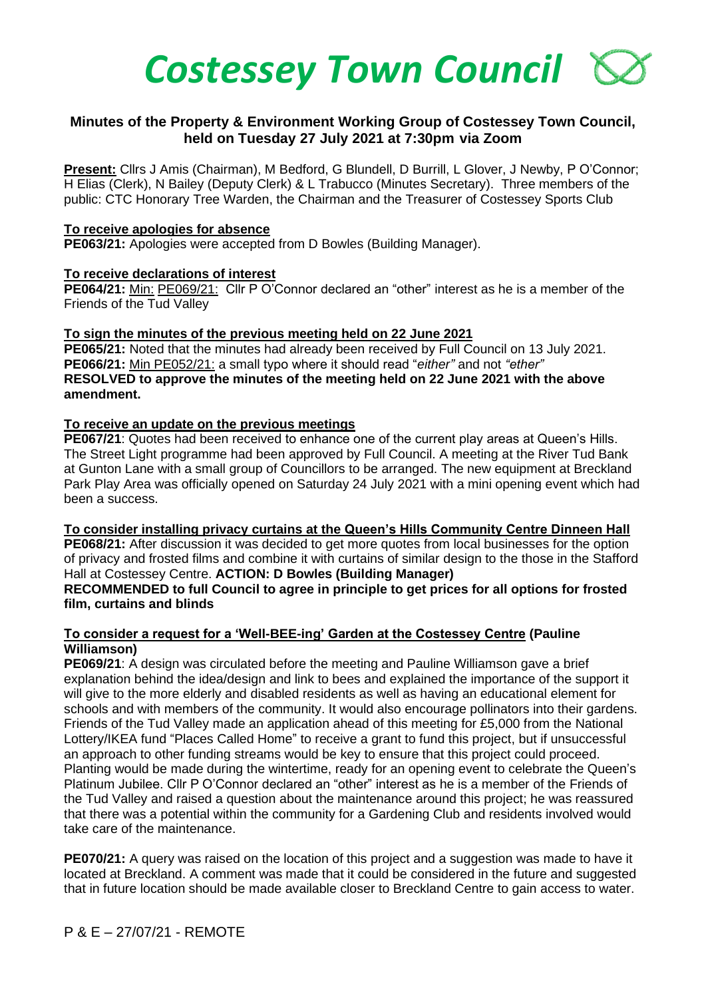

# **Minutes of the Property & Environment Working Group of Costessey Town Council, held on Tuesday 27 July 2021 at 7:30pm via Zoom**

**Present:** Cllrs J Amis (Chairman), M Bedford, G Blundell, D Burrill, L Glover, J Newby, P O'Connor; H Elias (Clerk), N Bailey (Deputy Clerk) & L Trabucco (Minutes Secretary). Three members of the public: CTC Honorary Tree Warden, the Chairman and the Treasurer of Costessey Sports Club

### **To receive apologies for absence**

**PE063/21:** Apologies were accepted from D Bowles (Building Manager).

### **To receive declarations of interest**

**PE064/21:** Min: PE069/21: Cllr P O'Connor declared an "other" interest as he is a member of the Friends of the Tud Valley

### **To sign the minutes of the previous meeting held on 22 June 2021**

**PE065/21:** Noted that the minutes had already been received by Full Council on 13 July 2021. **PE066/21:** Min PE052/21: a small typo where it should read "*either"* and not *"ether"* **RESOLVED to approve the minutes of the meeting held on 22 June 2021 with the above amendment.**

### **To receive an update on the previous meetings**

**PE067/21**: Quotes had been received to enhance one of the current play areas at Queen's Hills. The Street Light programme had been approved by Full Council. A meeting at the River Tud Bank at Gunton Lane with a small group of Councillors to be arranged. The new equipment at Breckland Park Play Area was officially opened on Saturday 24 July 2021 with a mini opening event which had been a success.

**To consider installing privacy curtains at the Queen's Hills Community Centre Dinneen Hall PE068/21:** After discussion it was decided to get more quotes from local businesses for the option

of privacy and frosted films and combine it with curtains of similar design to the those in the Stafford Hall at Costessey Centre. **ACTION: D Bowles (Building Manager)**

### **RECOMMENDED to full Council to agree in principle to get prices for all options for frosted film, curtains and blinds**

### **To consider a request for a 'Well-BEE-ing' Garden at the Costessey Centre (Pauline Williamson)**

**PE069/21**: A design was circulated before the meeting and Pauline Williamson gave a brief explanation behind the idea/design and link to bees and explained the importance of the support it will give to the more elderly and disabled residents as well as having an educational element for schools and with members of the community. It would also encourage pollinators into their gardens. Friends of the Tud Valley made an application ahead of this meeting for £5,000 from the National Lottery/IKEA fund "Places Called Home" to receive a grant to fund this project, but if unsuccessful an approach to other funding streams would be key to ensure that this project could proceed. Planting would be made during the wintertime, ready for an opening event to celebrate the Queen's Platinum Jubilee. Cllr P O'Connor declared an "other" interest as he is a member of the Friends of the Tud Valley and raised a question about the maintenance around this project; he was reassured that there was a potential within the community for a Gardening Club and residents involved would take care of the maintenance.

**PE070/21:** A query was raised on the location of this project and a suggestion was made to have it located at Breckland. A comment was made that it could be considered in the future and suggested that in future location should be made available closer to Breckland Centre to gain access to water.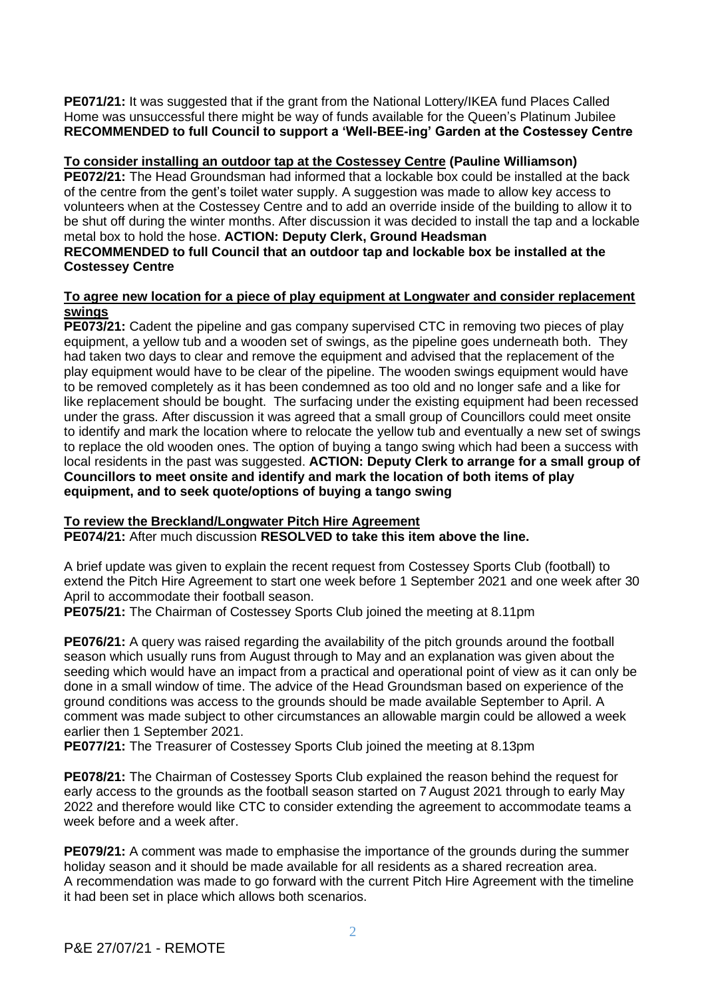**PE071/21:** It was suggested that if the grant from the National Lottery/IKEA fund Places Called Home was unsuccessful there might be way of funds available for the Queen's Platinum Jubilee **RECOMMENDED to full Council to support a 'Well-BEE-ing' Garden at the Costessey Centre**

# **To consider installing an outdoor tap at the Costessey Centre (Pauline Williamson)**

**PE072/21:** The Head Groundsman had informed that a lockable box could be installed at the back of the centre from the gent's toilet water supply. A suggestion was made to allow key access to volunteers when at the Costessey Centre and to add an override inside of the building to allow it to be shut off during the winter months. After discussion it was decided to install the tap and a lockable metal box to hold the hose. **ACTION: Deputy Clerk, Ground Headsman**

# **RECOMMENDED to full Council that an outdoor tap and lockable box be installed at the Costessey Centre**

# **To agree new location for a piece of play equipment at Longwater and consider replacement swings**

**PE073/21:** Cadent the pipeline and gas company supervised CTC in removing two pieces of play equipment, a yellow tub and a wooden set of swings, as the pipeline goes underneath both. They had taken two days to clear and remove the equipment and advised that the replacement of the play equipment would have to be clear of the pipeline. The wooden swings equipment would have to be removed completely as it has been condemned as too old and no longer safe and a like for like replacement should be bought. The surfacing under the existing equipment had been recessed under the grass. After discussion it was agreed that a small group of Councillors could meet onsite to identify and mark the location where to relocate the yellow tub and eventually a new set of swings to replace the old wooden ones. The option of buying a tango swing which had been a success with local residents in the past was suggested. **ACTION: Deputy Clerk to arrange for a small group of Councillors to meet onsite and identify and mark the location of both items of play equipment, and to seek quote/options of buying a tango swing**

# **To review the Breckland/Longwater Pitch Hire Agreement**

**PE074/21:** After much discussion **RESOLVED to take this item above the line.**

A brief update was given to explain the recent request from Costessey Sports Club (football) to extend the Pitch Hire Agreement to start one week before 1 September 2021 and one week after 30 April to accommodate their football season.

**PE075/21:** The Chairman of Costessey Sports Club joined the meeting at 8.11pm

**PE076/21:** A query was raised regarding the availability of the pitch grounds around the football season which usually runs from August through to May and an explanation was given about the seeding which would have an impact from a practical and operational point of view as it can only be done in a small window of time. The advice of the Head Groundsman based on experience of the ground conditions was access to the grounds should be made available September to April. A comment was made subject to other circumstances an allowable margin could be allowed a week earlier then 1 September 2021.

**PE077/21:** The Treasurer of Costessey Sports Club joined the meeting at 8.13pm

**PE078/21:** The Chairman of Costessey Sports Club explained the reason behind the request for early access to the grounds as the football season started on 7 August 2021 through to early May 2022 and therefore would like CTC to consider extending the agreement to accommodate teams a week before and a week after.

**PE079/21:** A comment was made to emphasise the importance of the grounds during the summer holiday season and it should be made available for all residents as a shared recreation area. A recommendation was made to go forward with the current Pitch Hire Agreement with the timeline it had been set in place which allows both scenarios.